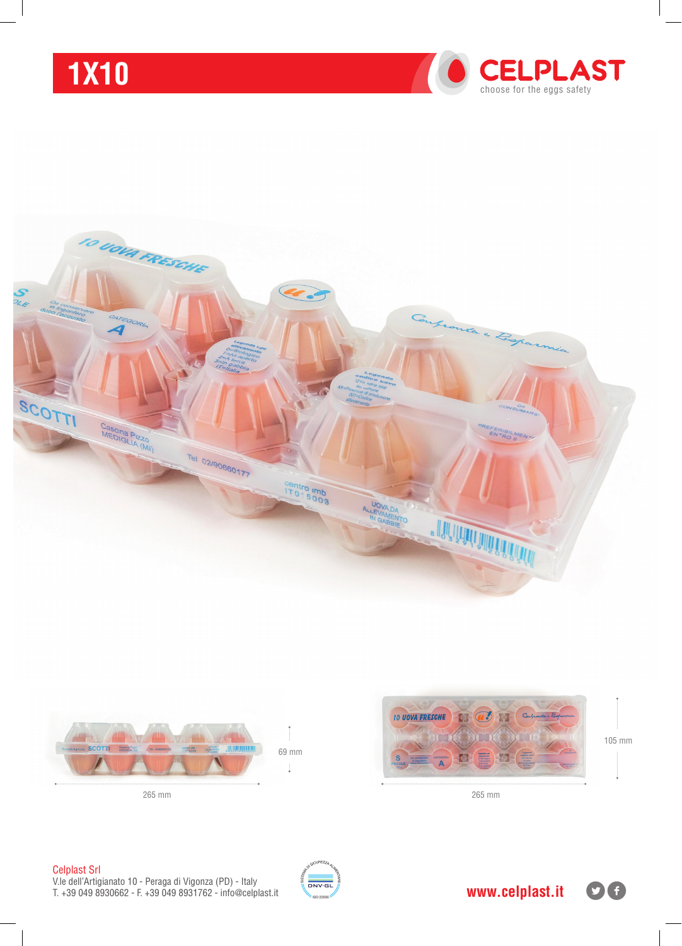# **1x10**







69 mm İ



265 mm 265 mm

#### Celplast Srl

V.le dell'Artigianato 10 - Peraga di Vigonza (PD) - Italy T. +39 049 8930662 - F. +39 049 8931762 - info@celplast.it